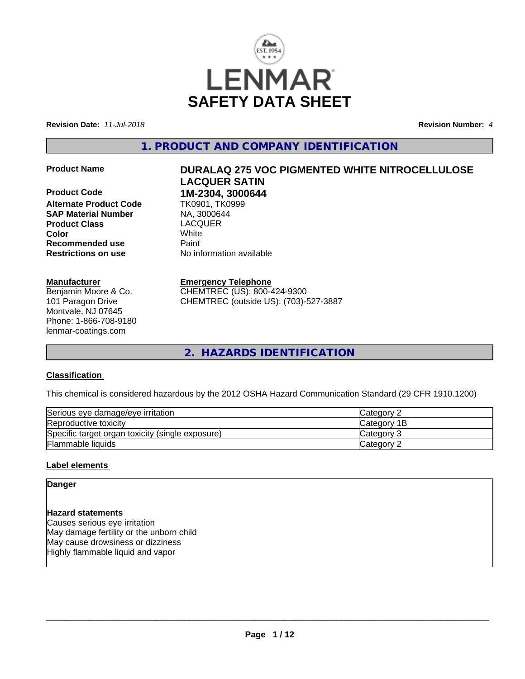

**Revision Date:** *11-Jul-2018* **Revision Number:** *4*

**1. PRODUCT AND COMPANY IDENTIFICATION**

**Product Code 1M-2304, 3000644**<br>**Alternate Product Code 11 TK0901, TK0999 Alternate Product Code** TK0901, TK0<br> **SAP Material Number** NA, 3000644 **SAP Material Number Product Class** LACQUER **Color** White **Recommended use Faint Restrictions on use** No information available

### **Manufacturer**

Benjamin Moore & Co. 101 Paragon Drive Montvale, NJ 07645 Phone: 1-866-708-9180 lenmar-coatings.com

# **Product Name DURALAQ 275 VOC PIGMENTED WHITE NITROCELLULOSE LACQUER SATIN**

# **Emergency Telephone**

CHEMTREC (US): 800-424-9300 CHEMTREC (outside US): (703)-527-3887

**2. HAZARDS IDENTIFICATION**

# **Classification**

This chemical is considered hazardous by the 2012 OSHA Hazard Communication Standard (29 CFR 1910.1200)

| Serious eye damage/eye irritation                | <b>ICategory 2</b> |
|--------------------------------------------------|--------------------|
| Reproductive toxicity                            | <b>Category 1B</b> |
| Specific target organ toxicity (single exposure) | Category 3         |
| Flammable liquids                                | Category 2         |

# **Label elements**

### **Danger**

**Hazard statements** Causes serious eye irritation May damage fertility or the unborn child May cause drowsiness or dizziness Highly flammable liquid and vapor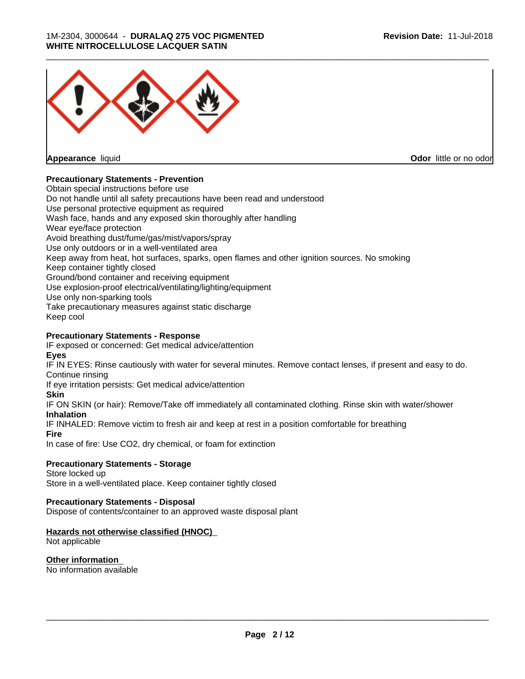

**Appearance** liquid

**Odor** little or no odor

# **Precautionary Statements - Prevention**

Obtain special instructions before use Do not handle until all safety precautions have been read and understood Use personal protective equipment as required Wash face, hands and any exposed skin thoroughly after handling Wear eye/face protection Avoid breathing dust/fume/gas/mist/vapors/spray Use only outdoors or in a well-ventilated area Keep away from heat, hot surfaces, sparks, open flames and other ignition sources. No smoking Keep container tightly closed Ground/bond container and receiving equipment Use explosion-proof electrical/ventilating/lighting/equipment Use only non-sparking tools Take precautionary measures against static discharge Keep cool

# **Precautionary Statements - Response**

IF exposed or concerned: Get medical advice/attention **Eyes**

IF IN EYES: Rinse cautiously with water for several minutes. Remove contact lenses, if present and easy to do. Continue rinsing

If eye irritation persists: Get medical advice/attention

# **Skin**

IF ON SKIN (or hair): Remove/Take off immediately all contaminated clothing. Rinse skin with water/shower **Inhalation**

IF INHALED: Remove victim to fresh air and keep at rest in a position comfortable for breathing

**Fire**

In case of fire: Use CO2, dry chemical, or foam for extinction

# **Precautionary Statements - Storage**

Store locked up Store in a well-ventilated place. Keep container tightly closed

# **Precautionary Statements - Disposal**

Dispose of contents/container to an approved waste disposal plant

# **Hazards not otherwise classified (HNOC)**

Not applicable

# **Other information**

No information available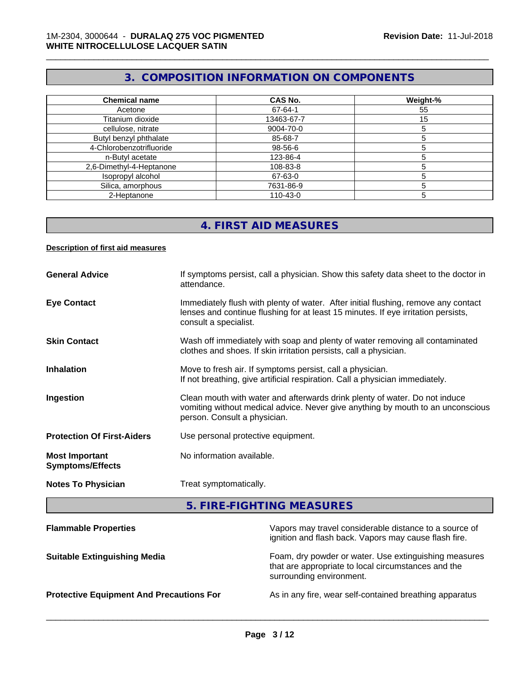# **3. COMPOSITION INFORMATION ON COMPONENTS**

\_\_\_\_\_\_\_\_\_\_\_\_\_\_\_\_\_\_\_\_\_\_\_\_\_\_\_\_\_\_\_\_\_\_\_\_\_\_\_\_\_\_\_\_\_\_\_\_\_\_\_\_\_\_\_\_\_\_\_\_\_\_\_\_\_\_\_\_\_\_\_\_\_\_\_\_\_\_\_\_\_\_\_\_\_\_\_\_\_\_\_\_\_

| <b>Chemical name</b>     | <b>CAS No.</b> | Weight-% |
|--------------------------|----------------|----------|
| Acetone                  | 67-64-1        | 55       |
| Titanium dioxide         | 13463-67-7     | 15       |
| cellulose, nitrate       | 9004-70-0      |          |
| Butyl benzyl phthalate   | 85-68-7        |          |
| 4-Chlorobenzotrifluoride | 98-56-6        |          |
| n-Butyl acetate          | 123-86-4       |          |
| 2,6-Dimethyl-4-Heptanone | 108-83-8       |          |
| Isopropyl alcohol        | 67-63-0        |          |
| Silica, amorphous        | 7631-86-9      |          |
| 2-Heptanone              | 110-43-0       |          |

# **4. FIRST AID MEASURES**

## **Description of first aid measures**

| <b>General Advice</b>                            | If symptoms persist, call a physician. Show this safety data sheet to the doctor in<br>attendance.                                                                                               |
|--------------------------------------------------|--------------------------------------------------------------------------------------------------------------------------------------------------------------------------------------------------|
| <b>Eye Contact</b>                               | Immediately flush with plenty of water. After initial flushing, remove any contact<br>lenses and continue flushing for at least 15 minutes. If eye irritation persists,<br>consult a specialist. |
| <b>Skin Contact</b>                              | Wash off immediately with soap and plenty of water removing all contaminated<br>clothes and shoes. If skin irritation persists, call a physician.                                                |
| <b>Inhalation</b>                                | Move to fresh air. If symptoms persist, call a physician.<br>If not breathing, give artificial respiration. Call a physician immediately.                                                        |
| Ingestion                                        | Clean mouth with water and afterwards drink plenty of water. Do not induce<br>vomiting without medical advice. Never give anything by mouth to an unconscious<br>person. Consult a physician.    |
| <b>Protection Of First-Aiders</b>                | Use personal protective equipment.                                                                                                                                                               |
| <b>Most Important</b><br><b>Symptoms/Effects</b> | No information available.                                                                                                                                                                        |
| <b>Notes To Physician</b>                        | Treat symptomatically.                                                                                                                                                                           |

**5. FIRE-FIGHTING MEASURES**

| <b>Flammable Properties</b>                     | Vapors may travel considerable distance to a source of<br>ignition and flash back. Vapors may cause flash fire.                          |
|-------------------------------------------------|------------------------------------------------------------------------------------------------------------------------------------------|
| <b>Suitable Extinguishing Media</b>             | Foam, dry powder or water. Use extinguishing measures<br>that are appropriate to local circumstances and the<br>surrounding environment. |
| <b>Protective Equipment And Precautions For</b> | As in any fire, wear self-contained breathing apparatus                                                                                  |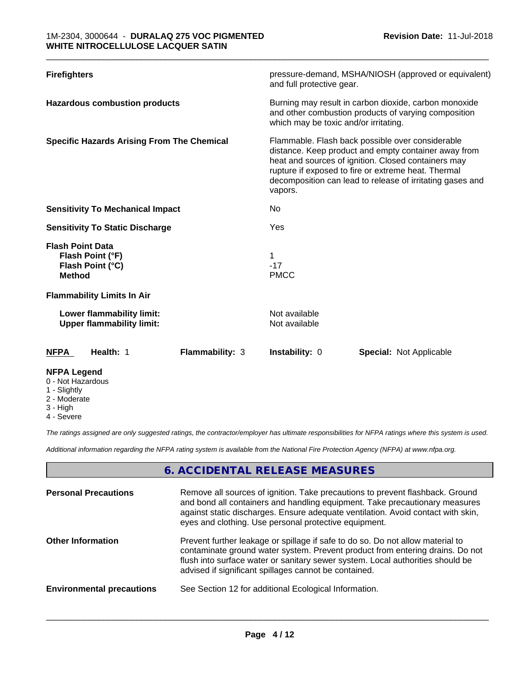| <b>Firefighters</b>                                                              | pressure-demand, MSHA/NIOSH (approved or equivalent)<br>and full protective gear.                                                                                                                                                                                                              |
|----------------------------------------------------------------------------------|------------------------------------------------------------------------------------------------------------------------------------------------------------------------------------------------------------------------------------------------------------------------------------------------|
| <b>Hazardous combustion products</b>                                             | Burning may result in carbon dioxide, carbon monoxide<br>and other combustion products of varying composition<br>which may be toxic and/or irritating.                                                                                                                                         |
| <b>Specific Hazards Arising From The Chemical</b>                                | Flammable. Flash back possible over considerable<br>distance. Keep product and empty container away from<br>heat and sources of ignition. Closed containers may<br>rupture if exposed to fire or extreme heat. Thermal<br>decomposition can lead to release of irritating gases and<br>vapors. |
| <b>Sensitivity To Mechanical Impact</b>                                          | No                                                                                                                                                                                                                                                                                             |
| <b>Sensitivity To Static Discharge</b>                                           | Yes                                                                                                                                                                                                                                                                                            |
| <b>Flash Point Data</b><br>Flash Point (°F)<br>Flash Point (°C)<br><b>Method</b> | $-17$<br><b>PMCC</b>                                                                                                                                                                                                                                                                           |
| <b>Flammability Limits In Air</b>                                                |                                                                                                                                                                                                                                                                                                |
| Lower flammability limit:<br><b>Upper flammability limit:</b>                    | Not available<br>Not available                                                                                                                                                                                                                                                                 |
| Health: 1<br><b>NFPA</b>                                                         | <b>Flammability: 3</b><br><b>Instability: 0</b><br><b>Special: Not Applicable</b>                                                                                                                                                                                                              |
| NEDA Logond                                                                      |                                                                                                                                                                                                                                                                                                |

- **NFPA Legend** 0 - Not Hazardous
- 1 Slightly
- 2 Moderate
- 3 High
- 4 Severe

*The ratings assigned are only suggested ratings, the contractor/employer has ultimate responsibilities for NFPA ratings where this system is used.*

*Additional information regarding the NFPA rating system is available from the National Fire Protection Agency (NFPA) at www.nfpa.org.*

# **6. ACCIDENTAL RELEASE MEASURES**

| <b>Personal Precautions</b>      | Remove all sources of ignition. Take precautions to prevent flashback. Ground<br>and bond all containers and handling equipment. Take precautionary measures<br>against static discharges. Ensure adequate ventilation. Avoid contact with skin,<br>eyes and clothing. Use personal protective equipment.  |
|----------------------------------|------------------------------------------------------------------------------------------------------------------------------------------------------------------------------------------------------------------------------------------------------------------------------------------------------------|
| <b>Other Information</b>         | Prevent further leakage or spillage if safe to do so. Do not allow material to<br>contaminate ground water system. Prevent product from entering drains. Do not<br>flush into surface water or sanitary sewer system. Local authorities should be<br>advised if significant spillages cannot be contained. |
| <b>Environmental precautions</b> | See Section 12 for additional Ecological Information.                                                                                                                                                                                                                                                      |
|                                  |                                                                                                                                                                                                                                                                                                            |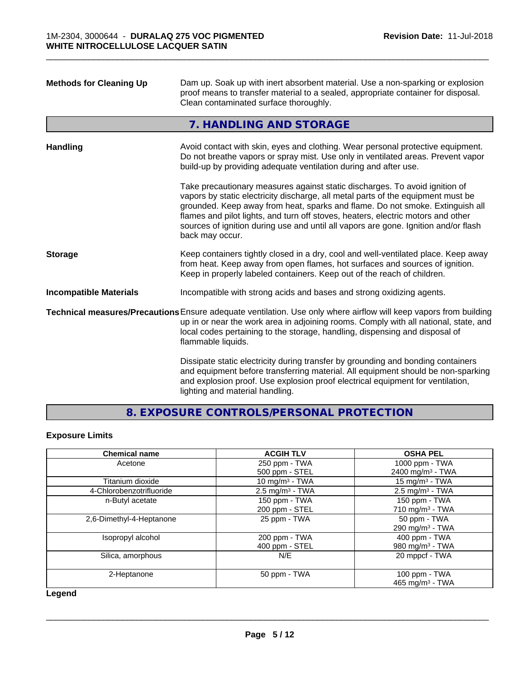| <b>Methods for Cleaning Up</b> | Dam up. Soak up with inert absorbent material. Use a non-sparking or explosion<br>proof means to transfer material to a sealed, appropriate container for disposal.<br>Clean contaminated surface thoroughly.                                                                                                                                                                                                                                  |
|--------------------------------|------------------------------------------------------------------------------------------------------------------------------------------------------------------------------------------------------------------------------------------------------------------------------------------------------------------------------------------------------------------------------------------------------------------------------------------------|
|                                | 7. HANDLING AND STORAGE                                                                                                                                                                                                                                                                                                                                                                                                                        |
| <b>Handling</b>                | Avoid contact with skin, eyes and clothing. Wear personal protective equipment.<br>Do not breathe vapors or spray mist. Use only in ventilated areas. Prevent vapor<br>build-up by providing adequate ventilation during and after use.                                                                                                                                                                                                        |
|                                | Take precautionary measures against static discharges. To avoid ignition of<br>vapors by static electricity discharge, all metal parts of the equipment must be<br>grounded. Keep away from heat, sparks and flame. Do not smoke. Extinguish all<br>flames and pilot lights, and turn off stoves, heaters, electric motors and other<br>sources of ignition during use and until all vapors are gone. Ignition and/or flash<br>back may occur. |
| <b>Storage</b>                 | Keep containers tightly closed in a dry, cool and well-ventilated place. Keep away<br>from heat. Keep away from open flames, hot surfaces and sources of ignition.<br>Keep in properly labeled containers. Keep out of the reach of children.                                                                                                                                                                                                  |
| <b>Incompatible Materials</b>  | Incompatible with strong acids and bases and strong oxidizing agents.                                                                                                                                                                                                                                                                                                                                                                          |
|                                | Technical measures/Precautions Ensure adequate ventilation. Use only where airflow will keep vapors from building<br>up in or near the work area in adjoining rooms. Comply with all national, state, and<br>local codes pertaining to the storage, handling, dispensing and disposal of<br>flammable liquids.                                                                                                                                 |
|                                | Dissipate static electricity during transfer by grounding and bonding containers<br>and equipment before transferring material. All equipment should be non-sparking<br>and explosion proof. Use explosion proof electrical equipment for ventilation,<br>lighting and material handling.                                                                                                                                                      |

# **8. EXPOSURE CONTROLS/PERSONAL PROTECTION**

# **Exposure Limits**

| <b>Chemical name</b>     | <b>ACGIH TLV</b>              | <b>OSHA PEL</b>              |
|--------------------------|-------------------------------|------------------------------|
| Acetone                  | 250 ppm - TWA                 | 1000 ppm - TWA               |
|                          | 500 ppm - STEL                | 2400 mg/m <sup>3</sup> - TWA |
| Titanium dioxide         | 10 mg/m $3$ - TWA             | 15 mg/m $3$ - TWA            |
| 4-Chlorobenzotrifluoride | $2.5$ mg/m <sup>3</sup> - TWA | $2.5 \text{ mg/m}^3$ - TWA   |
| n-Butyl acetate          | 150 ppm - TWA                 | $150$ ppm - TWA              |
|                          | 200 ppm - STEL                | 710 mg/m $3$ - TWA           |
| 2,6-Dimethyl-4-Heptanone | 25 ppm - TWA                  | 50 ppm - TWA                 |
|                          |                               | 290 mg/m $3$ - TWA           |
| Isopropyl alcohol        | 200 ppm - TWA                 | 400 ppm - TWA                |
|                          | 400 ppm - STEL                | 980 mg/m <sup>3</sup> - TWA  |
| Silica, amorphous        | N/E                           | 20 mppcf - TWA               |
| 2-Heptanone              | 50 ppm - TWA                  | 100 ppm - TWA                |
|                          |                               | 465 mg/m <sup>3</sup> - TWA  |

**Legend**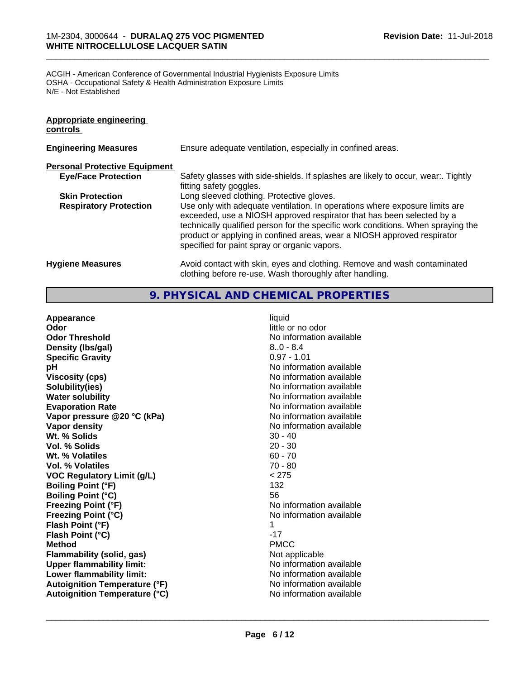ACGIH - American Conference of Governmental Industrial Hygienists Exposure Limits OSHA - Occupational Safety & Health Administration Exposure Limits N/E - Not Established

| <b>Appropriate engineering</b><br>controls |                                                                                                                                                                                                                                                                                                                                                                     |
|--------------------------------------------|---------------------------------------------------------------------------------------------------------------------------------------------------------------------------------------------------------------------------------------------------------------------------------------------------------------------------------------------------------------------|
| <b>Engineering Measures</b>                | Ensure adequate ventilation, especially in confined areas.                                                                                                                                                                                                                                                                                                          |
| <b>Personal Protective Equipment</b>       |                                                                                                                                                                                                                                                                                                                                                                     |
| <b>Eye/Face Protection</b>                 | Safety glasses with side-shields. If splashes are likely to occur, wear:. Tightly<br>fitting safety goggles.                                                                                                                                                                                                                                                        |
| <b>Skin Protection</b>                     | Long sleeved clothing. Protective gloves.                                                                                                                                                                                                                                                                                                                           |
| <b>Respiratory Protection</b>              | Use only with adequate ventilation. In operations where exposure limits are<br>exceeded, use a NIOSH approved respirator that has been selected by a<br>technically qualified person for the specific work conditions. When spraying the<br>product or applying in confined areas, wear a NIOSH approved respirator<br>specified for paint spray or organic vapors. |
| <b>Hygiene Measures</b>                    | Avoid contact with skin, eyes and clothing. Remove and wash contaminated<br>clothing before re-use. Wash thoroughly after handling.                                                                                                                                                                                                                                 |

\_\_\_\_\_\_\_\_\_\_\_\_\_\_\_\_\_\_\_\_\_\_\_\_\_\_\_\_\_\_\_\_\_\_\_\_\_\_\_\_\_\_\_\_\_\_\_\_\_\_\_\_\_\_\_\_\_\_\_\_\_\_\_\_\_\_\_\_\_\_\_\_\_\_\_\_\_\_\_\_\_\_\_\_\_\_\_\_\_\_\_\_\_

# **9. PHYSICAL AND CHEMICAL PROPERTIES**

| Appearance                           | liquid                   |
|--------------------------------------|--------------------------|
| Odor                                 | little or no odor        |
| <b>Odor Threshold</b>                | No information available |
| Density (Ibs/gal)                    | $8.0 - 8.4$              |
| <b>Specific Gravity</b>              | $0.97 - 1.01$            |
| рH                                   | No information available |
| <b>Viscosity (cps)</b>               | No information available |
| Solubility(ies)                      | No information available |
| <b>Water solubility</b>              | No information available |
| <b>Evaporation Rate</b>              | No information available |
| Vapor pressure @20 °C (kPa)          | No information available |
| Vapor density                        | No information available |
| Wt. % Solids                         | $30 - 40$                |
| <b>Vol. % Solids</b>                 | $20 - 30$                |
| Wt. % Volatiles                      | $60 - 70$                |
| Vol. % Volatiles                     | $70 - 80$                |
| <b>VOC Regulatory Limit (g/L)</b>    | < 275                    |
| <b>Boiling Point (°F)</b>            | 132                      |
| <b>Boiling Point (°C)</b>            | 56                       |
| <b>Freezing Point (°F)</b>           | No information available |
| <b>Freezing Point (°C)</b>           | No information available |
| Flash Point (°F)                     | 1                        |
| Flash Point (°C)                     | $-17$                    |
| <b>Method</b>                        | <b>PMCC</b>              |
| <b>Flammability (solid, gas)</b>     | Not applicable           |
| <b>Upper flammability limit:</b>     | No information available |
| Lower flammability limit:            | No information available |
| <b>Autoignition Temperature (°F)</b> | No information available |
| <b>Autoignition Temperature (°C)</b> | No information available |
|                                      |                          |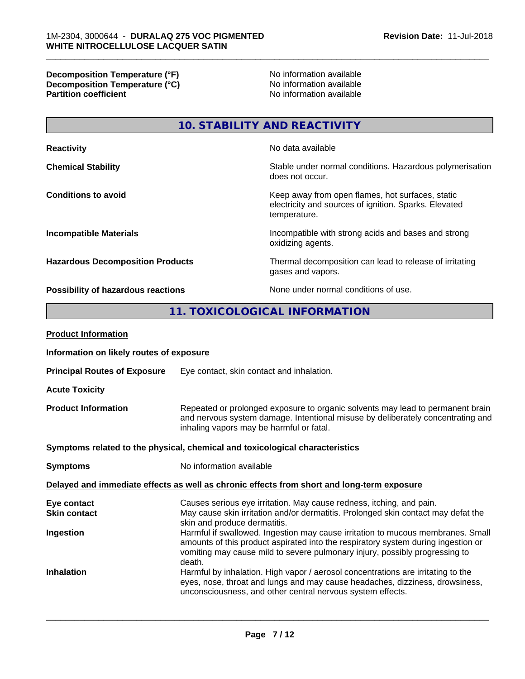**Decomposition Temperature (°F)** No information available **Decomposition Temperature (°C)** No information available **Partition coefficient**No information available

# **10. STABILITY AND REACTIVITY**

| <b>Reactivity</b>                       | No data available                                                                                                         |
|-----------------------------------------|---------------------------------------------------------------------------------------------------------------------------|
| <b>Chemical Stability</b>               | Stable under normal conditions. Hazardous polymerisation<br>does not occur.                                               |
| <b>Conditions to avoid</b>              | Keep away from open flames, hot surfaces, static<br>electricity and sources of ignition. Sparks. Elevated<br>temperature. |
| <b>Incompatible Materials</b>           | Incompatible with strong acids and bases and strong<br>oxidizing agents.                                                  |
| <b>Hazardous Decomposition Products</b> | Thermal decomposition can lead to release of irritating<br>gases and vapors.                                              |
| Possibility of hazardous reactions      | None under normal conditions of use.                                                                                      |

# **11. TOXICOLOGICAL INFORMATION**

| <b>Product Information</b>               |                                                                                                                                                                                                                                                               |
|------------------------------------------|---------------------------------------------------------------------------------------------------------------------------------------------------------------------------------------------------------------------------------------------------------------|
| Information on likely routes of exposure |                                                                                                                                                                                                                                                               |
| <b>Principal Routes of Exposure</b>      | Eye contact, skin contact and inhalation.                                                                                                                                                                                                                     |
| <b>Acute Toxicity</b>                    |                                                                                                                                                                                                                                                               |
| <b>Product Information</b>               | Repeated or prolonged exposure to organic solvents may lead to permanent brain<br>and nervous system damage. Intentional misuse by deliberately concentrating and<br>inhaling vapors may be harmful or fatal.                                                 |
|                                          | Symptoms related to the physical, chemical and toxicological characteristics                                                                                                                                                                                  |
| <b>Symptoms</b>                          | No information available                                                                                                                                                                                                                                      |
|                                          | Delayed and immediate effects as well as chronic effects from short and long-term exposure                                                                                                                                                                    |
| Eye contact<br><b>Skin contact</b>       | Causes serious eye irritation. May cause redness, itching, and pain.<br>May cause skin irritation and/or dermatitis. Prolonged skin contact may defat the<br>skin and produce dermatitis.                                                                     |
| Ingestion                                | Harmful if swallowed. Ingestion may cause irritation to mucous membranes. Small<br>amounts of this product aspirated into the respiratory system during ingestion or<br>vomiting may cause mild to severe pulmonary injury, possibly progressing to<br>death. |
| <b>Inhalation</b>                        | Harmful by inhalation. High vapor / aerosol concentrations are irritating to the<br>eyes, nose, throat and lungs and may cause headaches, dizziness, drowsiness,<br>unconsciousness, and other central nervous system effects.                                |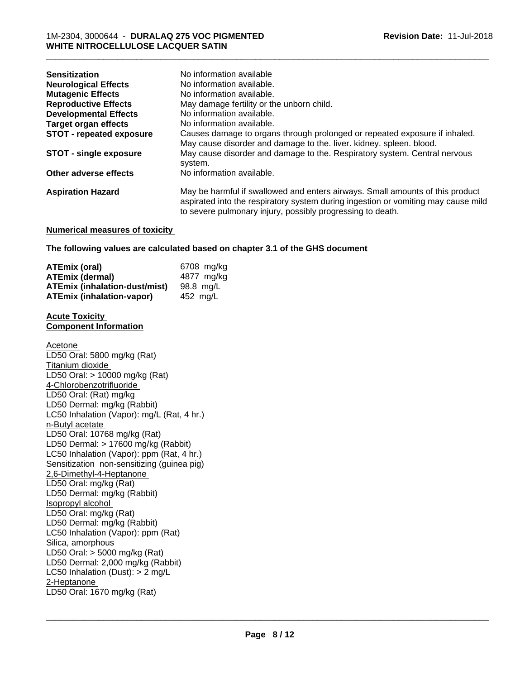| <b>Sensitization</b><br><b>Neurological Effects</b> | No information available<br>No information available.                                                                                                                                                                            |
|-----------------------------------------------------|----------------------------------------------------------------------------------------------------------------------------------------------------------------------------------------------------------------------------------|
| <b>Mutagenic Effects</b>                            | No information available.                                                                                                                                                                                                        |
| <b>Reproductive Effects</b>                         | May damage fertility or the unborn child.                                                                                                                                                                                        |
| <b>Developmental Effects</b>                        | No information available.                                                                                                                                                                                                        |
| <b>Target organ effects</b>                         | No information available.                                                                                                                                                                                                        |
| <b>STOT - repeated exposure</b>                     | Causes damage to organs through prolonged or repeated exposure if inhaled.                                                                                                                                                       |
|                                                     | May cause disorder and damage to the. liver. kidney. spleen. blood.                                                                                                                                                              |
| <b>STOT - single exposure</b>                       | May cause disorder and damage to the. Respiratory system. Central nervous<br>system.                                                                                                                                             |
| Other adverse effects                               | No information available.                                                                                                                                                                                                        |
| <b>Aspiration Hazard</b>                            | May be harmful if swallowed and enters airways. Small amounts of this product<br>aspirated into the respiratory system during ingestion or vomiting may cause mild<br>to severe pulmonary injury, possibly progressing to death. |

# **Numerical measures of toxicity**

**The following values are calculated based on chapter 3.1 of the GHS document**

| <b>ATEmix (oral)</b>                 | 6708 mg/kg |
|--------------------------------------|------------|
| <b>ATEmix (dermal)</b>               | 4877 ma/ka |
| <b>ATEmix (inhalation-dust/mist)</b> | 98.8 ma/L  |
| <b>ATEmix (inhalation-vapor)</b>     | 452 ma/L   |

#### **Acute Toxicity Component Information**

Acetone LD50 Oral: 5800 mg/kg (Rat) Titanium dioxide LD50 Oral: > 10000 mg/kg (Rat) 4-Chlorobenzotrifluoride LD50 Oral: (Rat) mg/kg LD50 Dermal: mg/kg (Rabbit) LC50 Inhalation (Vapor): mg/L (Rat, 4 hr.) n-Butyl acetate LD50 Oral: 10768 mg/kg (Rat) LD50 Dermal: > 17600 mg/kg (Rabbit) LC50 Inhalation (Vapor): ppm (Rat, 4 hr.) Sensitization non-sensitizing (guinea pig) 2,6-Dimethyl-4-Heptanone LD50 Oral: mg/kg (Rat) LD50 Dermal: mg/kg (Rabbit) Isopropyl alcohol LD50 Oral: mg/kg (Rat) LD50 Dermal: mg/kg (Rabbit) LC50 Inhalation (Vapor): ppm (Rat) Silica, amorphous LD50 Oral: > 5000 mg/kg (Rat) LD50 Dermal: 2,000 mg/kg (Rabbit) LC50 Inhalation (Dust): > 2 mg/L 2-Heptanone \_\_\_\_\_\_\_\_\_\_\_\_\_\_\_\_\_\_\_\_\_\_\_\_\_\_\_\_\_\_\_\_\_\_\_\_\_\_\_\_\_\_\_\_\_\_\_\_\_\_\_\_\_\_\_\_\_\_\_\_\_\_\_\_\_\_\_\_\_\_\_\_\_\_\_\_\_\_\_\_\_\_\_\_\_\_\_\_\_\_\_\_\_ LD50 Oral: 1670 mg/kg (Rat)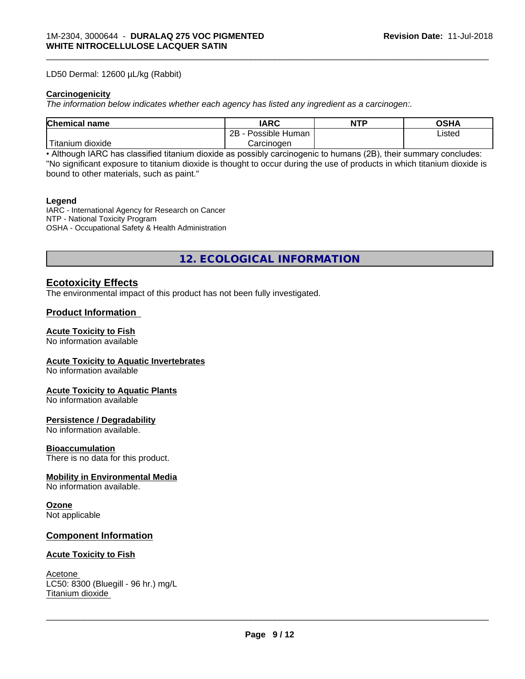### LD50 Dermal: 12600 µL/kg (Rabbit)

# **Carcinogenicity**

*The information below indicateswhether each agency has listed any ingredient as a carcinogen:.*

| <b>Chemical name</b>    | <b>IARC</b>          | <b>NTP</b> | <b>OSHA</b> |
|-------------------------|----------------------|------------|-------------|
|                         | Possible Human<br>2B |            | Listed      |
| ' Titanium J<br>dioxide | Carcinogen           |            |             |

\_\_\_\_\_\_\_\_\_\_\_\_\_\_\_\_\_\_\_\_\_\_\_\_\_\_\_\_\_\_\_\_\_\_\_\_\_\_\_\_\_\_\_\_\_\_\_\_\_\_\_\_\_\_\_\_\_\_\_\_\_\_\_\_\_\_\_\_\_\_\_\_\_\_\_\_\_\_\_\_\_\_\_\_\_\_\_\_\_\_\_\_\_

• Although IARC has classified titanium dioxide as possibly carcinogenic to humans (2B), their summary concludes: "No significant exposure to titanium dioxide is thought to occur during the use of products in which titanium dioxide is bound to other materials, such as paint."

#### **Legend**

IARC - International Agency for Research on Cancer NTP - National Toxicity Program OSHA - Occupational Safety & Health Administration

**12. ECOLOGICAL INFORMATION**

# **Ecotoxicity Effects**

The environmental impact of this product has not been fully investigated.

# **Product Information**

### **Acute Toxicity to Fish**

No information available

### **Acute Toxicity to Aquatic Invertebrates**

No information available

### **Acute Toxicity to Aquatic Plants**

No information available

## **Persistence / Degradability**

No information available.

### **Bioaccumulation**

There is no data for this product.

# **Mobility in Environmental Media**

No information available.

### **Ozone**

Not applicable

# **Component Information**

### **Acute Toxicity to Fish**

Acetone LC50: 8300 (Bluegill - 96 hr.) mg/L Titanium dioxide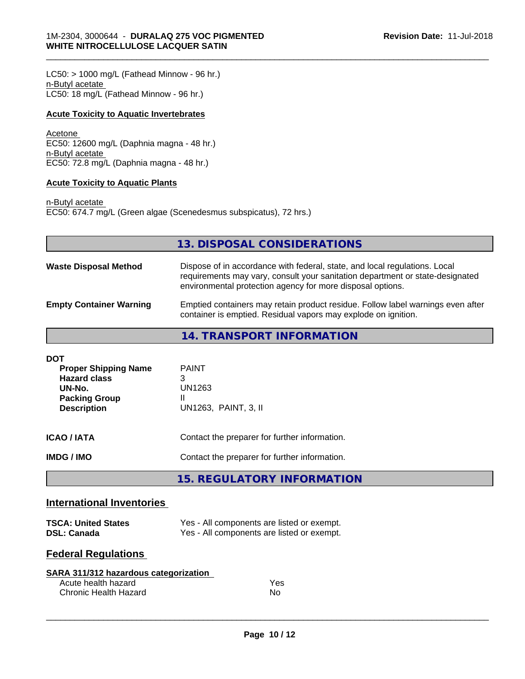$LC50:$  > 1000 mg/L (Fathead Minnow - 96 hr.) n-Butyl acetate LC50: 18 mg/L (Fathead Minnow - 96 hr.)

# **Acute Toxicity to Aquatic Invertebrates**

Acetone EC50: 12600 mg/L (Daphnia magna - 48 hr.) n-Butyl acetate EC50: 72.8 mg/L (Daphnia magna - 48 hr.)

# **Acute Toxicity to Aquatic Plants**

n-Butyl acetate EC50: 674.7 mg/L (Green algae (Scenedesmus subspicatus), 72 hrs.)

|                                    | 13. DISPOSAL CONSIDERATIONS                                                                                                                                                                                               |
|------------------------------------|---------------------------------------------------------------------------------------------------------------------------------------------------------------------------------------------------------------------------|
| <b>Waste Disposal Method</b>       | Dispose of in accordance with federal, state, and local regulations. Local<br>requirements may vary, consult your sanitation department or state-designated<br>environmental protection agency for more disposal options. |
| <b>Empty Container Warning</b>     | Emptied containers may retain product residue. Follow label warnings even after<br>container is emptied. Residual vapors may explode on ignition.                                                                         |
|                                    | <b>14. TRANSPORT INFORMATION</b>                                                                                                                                                                                          |
| <b>DOT</b><br>Dranar Chinning Nama | <b>DAINIT</b>                                                                                                                                                                                                             |

\_\_\_\_\_\_\_\_\_\_\_\_\_\_\_\_\_\_\_\_\_\_\_\_\_\_\_\_\_\_\_\_\_\_\_\_\_\_\_\_\_\_\_\_\_\_\_\_\_\_\_\_\_\_\_\_\_\_\_\_\_\_\_\_\_\_\_\_\_\_\_\_\_\_\_\_\_\_\_\_\_\_\_\_\_\_\_\_\_\_\_\_\_

| <b>Proper Shipping Name</b><br><b>Hazard class</b><br>UN-No.<br><b>Packing Group</b><br><b>Description</b> | <b>PAINT</b><br>3<br>UN1263<br>Ш<br>UN1263, PAINT, 3, II |
|------------------------------------------------------------------------------------------------------------|----------------------------------------------------------|
| ICAO / IATA                                                                                                | Contact the preparer for further information.            |
| IMDG / IMO                                                                                                 | Contact the preparer for further information.            |
|                                                                                                            |                                                          |

**15. REGULATORY INFORMATION**

# **International Inventories**

| <b>TSCA: United States</b> | Yes - All components are listed or exempt. |
|----------------------------|--------------------------------------------|
| <b>DSL: Canada</b>         | Yes - All components are listed or exempt. |

# **Federal Regulations**

| SARA 311/312 hazardous categorization |     |  |
|---------------------------------------|-----|--|
| Acute health hazard                   | Yes |  |
| Chronic Health Hazard                 | No. |  |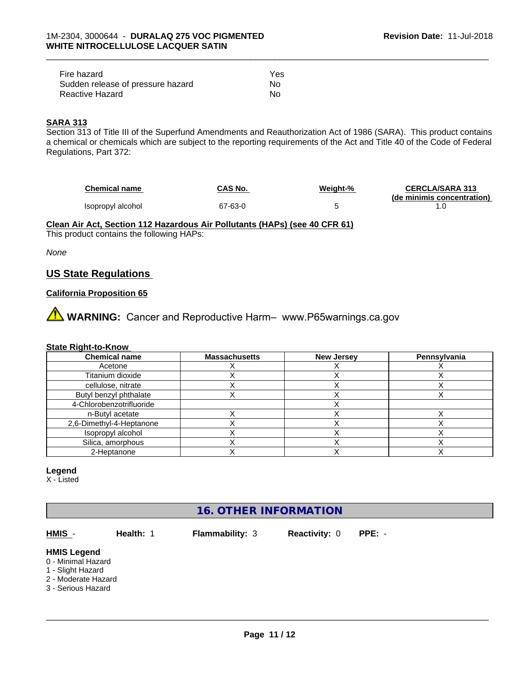| Fire hazard                       | Yes |  |
|-----------------------------------|-----|--|
| Sudden release of pressure hazard | No. |  |
| Reactive Hazard                   | No  |  |

# **SARA 313**

Section 313 of Title III of the Superfund Amendments and Reauthorization Act of 1986 (SARA). This product contains a chemical or chemicals which are subject to the reporting requirements of the Act and Title 40 of the Code of Federal Regulations, Part 372:

| <b>Chemical name</b> | CAS No. | Weight-% | <b>CERCLA/SARA 313</b>     |
|----------------------|---------|----------|----------------------------|
|                      |         |          | (de minimis concentration) |
| Isopropyl alcohol    | 67-63-0 |          |                            |

\_\_\_\_\_\_\_\_\_\_\_\_\_\_\_\_\_\_\_\_\_\_\_\_\_\_\_\_\_\_\_\_\_\_\_\_\_\_\_\_\_\_\_\_\_\_\_\_\_\_\_\_\_\_\_\_\_\_\_\_\_\_\_\_\_\_\_\_\_\_\_\_\_\_\_\_\_\_\_\_\_\_\_\_\_\_\_\_\_\_\_\_\_

**Clean Air Act,Section 112 Hazardous Air Pollutants (HAPs) (see 40 CFR 61)**

This product contains the following HAPs:

*None*

# **US State Regulations**

# **California Proposition 65**

**AVIMARNING:** Cancer and Reproductive Harm– www.P65warnings.ca.gov

#### **State Right-to-Know**

| <b>Chemical name</b>     | <b>Massachusetts</b> | <b>New Jersey</b> | Pennsylvania |
|--------------------------|----------------------|-------------------|--------------|
| Acetone                  |                      |                   |              |
| Titanium dioxide         |                      |                   |              |
| cellulose, nitrate       |                      |                   |              |
| Butyl benzyl phthalate   |                      |                   |              |
| 4-Chlorobenzotrifluoride |                      |                   |              |
| n-Butyl acetate          |                      |                   |              |
| 2,6-Dimethyl-4-Heptanone |                      |                   |              |
| Isopropyl alcohol        |                      |                   |              |
| Silica, amorphous        |                      |                   |              |
| 2-Heptanone              |                      |                   |              |

### **Legend**

X - Listed

# **16. OTHER INFORMATION**

**HMIS** - **Health:** 1 **Flammability:** 3 **Reactivity:** 0 **PPE:** -

 $\overline{\phantom{a}}$  ,  $\overline{\phantom{a}}$  ,  $\overline{\phantom{a}}$  ,  $\overline{\phantom{a}}$  ,  $\overline{\phantom{a}}$  ,  $\overline{\phantom{a}}$  ,  $\overline{\phantom{a}}$  ,  $\overline{\phantom{a}}$  ,  $\overline{\phantom{a}}$  ,  $\overline{\phantom{a}}$  ,  $\overline{\phantom{a}}$  ,  $\overline{\phantom{a}}$  ,  $\overline{\phantom{a}}$  ,  $\overline{\phantom{a}}$  ,  $\overline{\phantom{a}}$  ,  $\overline{\phantom{a}}$ 

#### **HMIS Legend**

- 0 Minimal Hazard
- 1 Slight Hazard
- 2 Moderate Hazard
- 3 Serious Hazard